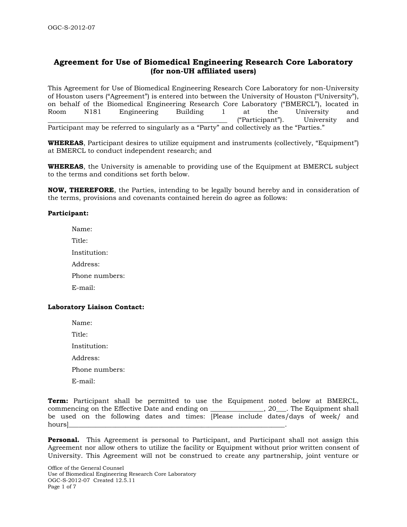# **Agreement for Use of Biomedical Engineering Research Core Laboratory (for non-UH affiliated users)**

This Agreement for Use of Biomedical Engineering Research Core Laboratory for non-University of Houston users ("Agreement") is entered into between the University of Houston ("University"), on behalf of the Biomedical Engineering Research Core Laboratory ("BMERCL"), located in Room N181 Engineering Building 1 at the University and ("Participant"). University and Participant may be referred to singularly as a "Party" and collectively as the "Parties."

**WHEREAS**, Participant desires to utilize equipment and instruments (collectively, "Equipment") at BMERCL to conduct independent research; and

**WHEREAS**, the University is amenable to providing use of the Equipment at BMERCL subject to the terms and conditions set forth below.

**NOW, THEREFORE**, the Parties, intending to be legally bound hereby and in consideration of the terms, provisions and covenants contained herein do agree as follows:

## **Participant:**

Name: Title: Institution: Address: Phone numbers: E-mail:

### **Laboratory Liaison Contact:**

Name: Title: Institution: Address: Phone numbers:

E-mail:

**Term:** Participant shall be permitted to use the Equipment noted below at BMERCL, commencing on the Effective Date and ending on \_\_\_\_\_\_\_\_\_\_\_\_\_\_\_\_, 20\_\_\_. The Equipment shall be used on the following dates and times: [Please include dates/days of week/ and hours]\_\_\_\_\_\_\_\_\_\_\_\_\_\_\_\_\_\_\_\_\_\_\_\_\_\_\_\_\_\_\_\_\_\_\_\_\_\_\_\_\_\_\_\_\_\_\_\_\_\_\_\_\_\_\_\_\_\_\_\_\_\_\_\_\_.

**Personal.** This Agreement is personal to Participant, and Participant shall not assign this Agreement nor allow others to utilize the facility or Equipment without prior written consent of University. This Agreement will not be construed to create any partnership, joint venture or

Office of the General Counsel Use of Biomedical Engineering Research Core Laboratory OGC-S-2012-07 Created 12.5.11 Page 1 of 7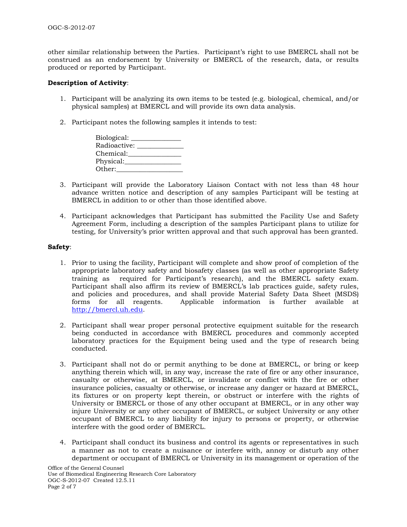other similar relationship between the Parties. Participant's right to use BMERCL shall not be construed as an endorsement by University or BMERCL of the research, data, or results produced or reported by Participant.

#### **Description of Activity**:

- 1. Participant will be analyzing its own items to be tested (e.g. biological, chemical, and/or physical samples) at BMERCL and will provide its own data analysis.
- 2. Participant notes the following samples it intends to test:

| Biological: _ |  |
|---------------|--|
| Radioactive:  |  |
| Chemical:     |  |
| Physical:     |  |
| Other:        |  |

- 3. Participant will provide the Laboratory Liaison Contact with not less than 48 hour advance written notice and description of any samples Participant will be testing at BMERCL in addition to or other than those identified above.
- 4. Participant acknowledges that Participant has submitted the Facility Use and Safety Agreement Form, including a description of the samples Participant plans to utilize for testing, for University's prior written approval and that such approval has been granted.

### **Safety**:

- 1. Prior to using the facility, Participant will complete and show proof of completion of the appropriate laboratory safety and biosafety classes (as well as other appropriate Safety training as required for Participant's research), and the BMERCL safety exam. Participant shall also affirm its review of BMERCL's lab practices guide, safety rules, and policies and procedures, and shall provide Material Safety Data Sheet (MSDS) forms for all reagents. Applicable information is further available at [http://bmercl.uh.edu.](http://bmercl.uh.edu/)
- 2. Participant shall wear proper personal protective equipment suitable for the research being conducted in accordance with BMERCL procedures and commonly accepted laboratory practices for the Equipment being used and the type of research being conducted.
- 3. Participant shall not do or permit anything to be done at BMERCL, or bring or keep anything therein which will, in any way, increase the rate of fire or any other insurance, casualty or otherwise, at BMERCL, or invalidate or conflict with the fire or other insurance policies, casualty or otherwise, or increase any danger or hazard at BMERCL, its fixtures or on property kept therein, or obstruct or interfere with the rights of University or BMERCL or those of any other occupant at BMERCL, or in any other way injure University or any other occupant of BMERCL, or subject University or any other occupant of BMERCL to any liability for injury to persons or property, or otherwise interfere with the good order of BMERCL.
- 4. Participant shall conduct its business and control its agents or representatives in such a manner as not to create a nuisance or interfere with, annoy or disturb any other department or occupant of BMERCL or University in its management or operation of the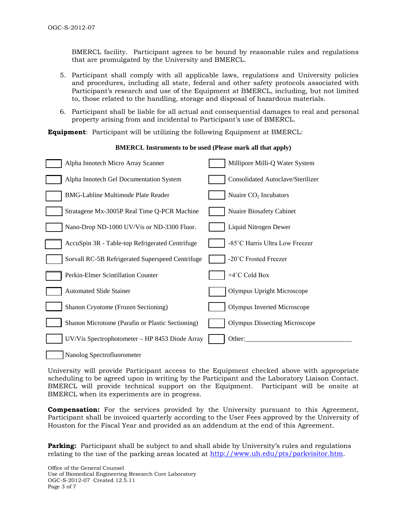BMERCL facility. Participant agrees to be bound by reasonable rules and regulations that are promulgated by the University and BMERCL.

- 5. Participant shall comply with all applicable laws, regulations and University policies and procedures, including all state, federal and other safety protocols associated with Participant's research and use of the Equipment at BMERCL, including, but not limited to, those related to the handling, storage and disposal of hazardous materials.
- 6. Participant shall be liable for all actual and consequential damages to real and personal property arising from and incidental to Participant's use of BMERCL.

**Equipment**: Participant will be utilizing the following Equipment at BMERCL:

## **BMERCL Instruments to be used (Please mark all that apply)**

| Alpha Innotech Micro Array Scanner               | Millipore Milli-Q Water System       |
|--------------------------------------------------|--------------------------------------|
| Alpha Innotech Gel Documentation System          | Consolidated Autoclave/Sterilizer    |
| <b>BMG-Labline Multimode Plate Reader</b>        | Nuaire CO <sub>2</sub> Incubators    |
| Stratagene Mx-3005P Real Time Q-PCR Machine      | Nuaire Biosafety Cabinet             |
| Nano-Drop ND-1000 UV/Vis or ND-3300 Fluor.       | Liquid Nitrogen Dewer                |
| AccuSpin 3R - Table-top Refrigerated Centrifuge  | -85°C Harris Ultra Low Freezer       |
| Sorvall RC-5B Refrigerated Superspeed Centrifuge | -20°C Frosted Freezer                |
| Perkin-Elmer Scintillation Counter               | +4°C Cold Box                        |
| <b>Automated Slide Stainer</b>                   | <b>Olympus Upright Microscope</b>    |
| Shanon Cryotome (Frozen Sectioning)              | Olympus Inverted Microscope          |
| Shanon Microtome (Parafin or Plastic Sectioning) | <b>Olympus Dissecting Microscope</b> |
| UV/Vis Spectrophotometer - HP 8453 Diode Array   | Other:                               |
|                                                  |                                      |

Nanolog Spectrofluorometer

University will provide Participant access to the Equipment checked above with appropriate scheduling to be agreed upon in writing by the Participant and the Laboratory Liaison Contact. BMERCL will provide technical support on the Equipment. Participant will be onsite at BMERCL when its experiments are in progress.

**Compensation:** For the services provided by the University pursuant to this Agreement, Participant shall be invoiced quarterly according to the User Fees approved by the University of Houston for the Fiscal Year and provided as an addendum at the end of this Agreement.

**Parking:** Participant shall be subject to and shall abide by University's rules and regulations relating to the use of the parking areas located at [http://www.uh.edu/pts/parkvisitor.htm.](http://www.uh.edu/pts/parkvisitor.htm)

Office of the General Counsel Use of Biomedical Engineering Research Core Laboratory OGC-S-2012-07 Created 12.5.11 Page 3 of 7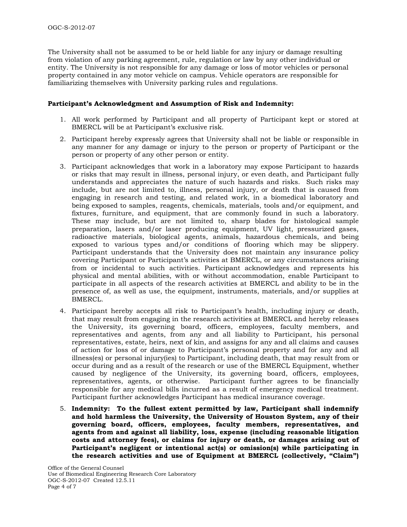The University shall not be assumed to be or held liable for any injury or damage resulting from violation of any parking agreement, rule, regulation or law by any other individual or entity. The University is not responsible for any damage or loss of motor vehicles or personal property contained in any motor vehicle on campus. Vehicle operators are responsible for familiarizing themselves with University parking rules and regulations.

#### **Participant's Acknowledgment and Assumption of Risk and Indemnity:**

- 1. All work performed by Participant and all property of Participant kept or stored at BMERCL will be at Participant's exclusive risk.
- 2. Participant hereby expressly agrees that University shall not be liable or responsible in any manner for any damage or injury to the person or property of Participant or the person or property of any other person or entity.
- 3. Participant acknowledges that work in a laboratory may expose Participant to hazards or risks that may result in illness, personal injury, or even death, and Participant fully understands and appreciates the nature of such hazards and risks. Such risks may include, but are not limited to, illness, personal injury, or death that is caused from engaging in research and testing, and related work, in a biomedical laboratory and being exposed to samples, reagents, chemicals, materials, tools and/or equipment, and fixtures, furniture, and equipment, that are commonly found in such a laboratory. These may include, but are not limited to, sharp blades for histological sample preparation, lasers and/or laser producing equipment, UV light, pressurized gases, radioactive materials, biological agents, animals, hazardous chemicals, and being exposed to various types and/or conditions of flooring which may be slippery. Participant understands that the University does not maintain any insurance policy covering Participant or Participant's activities at BMERCL, or any circumstances arising from or incidental to such activities. Participant acknowledges and represents his physical and mental abilities, with or without accommodation, enable Participant to participate in all aspects of the research activities at BMERCL and ability to be in the presence of, as well as use, the equipment, instruments, materials, and/or supplies at BMERCL.
- 4. Participant hereby accepts all risk to Participant's health, including injury or death, that may result from engaging in the research activities at BMERCL and hereby releases the University, its governing board, officers, employees, faculty members, and representatives and agents, from any and all liability to Participant, his personal representatives, estate, heirs, next of kin, and assigns for any and all claims and causes of action for loss of or damage to Participant's personal property and for any and all illness(es) or personal injury(ies) to Participant, including death, that may result from or occur during and as a result of the research or use of the BMERCL Equipment, whether caused by negligence of the University, its governing board, officers, employees, representatives, agents, or otherwise.Participant further agrees to be financially responsible for any medical bills incurred as a result of emergency medical treatment. Participant further acknowledges Participant has medical insurance coverage.
- 5. **Indemnity: To the fullest extent permitted by law, Participant shall indemnify and hold harmless the University, the University of Houston System, any of their governing board, officers, employees, faculty members, representatives, and agents from and against all liability, loss, expense (including reasonable litigation costs and attorney fees), or claims for injury or death, or damages arising out of Participant's negligent or intentional act(s) or omission(s) while participating in the research activities and use of Equipment at BMERCL (collectively, "Claim")**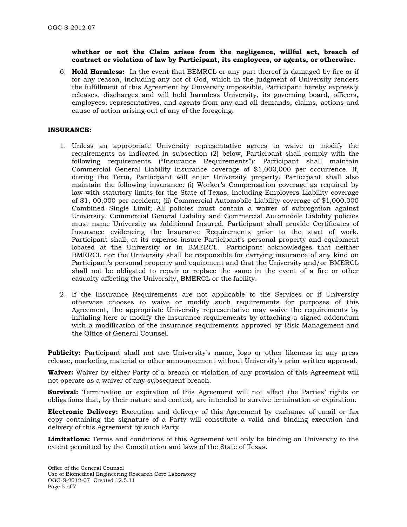### **whether or not the Claim arises from the negligence, willful act, breach of contract or violation of law by Participant, its employees, or agents, or otherwise.**

6. **Hold Harmless:** In the event that BEMRCL or any part thereof is damaged by fire or if for any reason, including any act of God, which in the judgment of University renders the fulfillment of this Agreement by University impossible, Participant hereby expressly releases, discharges and will hold harmless University, its governing board, officers, employees, representatives, and agents from any and all demands, claims, actions and cause of action arising out of any of the foregoing.

### **INSURANCE:**

- 1. Unless an appropriate University representative agrees to waive or modify the requirements as indicated in subsection (2) below, Participant shall comply with the following requirements ("Insurance Requirements"): Participant shall maintain Commercial General Liability insurance coverage of \$1,000,000 per occurrence. If, during the Term, Participant will enter University property, Participant shall also maintain the following insurance: (i) Worker's Compensation coverage as required by law with statutory limits for the State of Texas, including Employers Liability coverage of \$1, 00,000 per accident; (ii) Commercial Automobile Liability coverage of \$1,000,000 Combined Single Limit; All policies must contain a waiver of subrogation against University. Commercial General Liability and Commercial Automobile Liability policies must name University as Additional Insured. Participant shall provide Certificates of Insurance evidencing the Insurance Requirements prior to the start of work. Participant shall, at its expense insure Participant's personal property and equipment located at the University or in BMERCL. Participant acknowledges that neither BMERCL nor the University shall be responsible for carrying insurance of any kind on Participant's personal property and equipment and that the University and/or BMERCL shall not be obligated to repair or replace the same in the event of a fire or other casualty affecting the University, BMERCL or the facility.
- 2. If the Insurance Requirements are not applicable to the Services or if University otherwise chooses to waive or modify such requirements for purposes of this Agreement, the appropriate University representative may waive the requirements by initialing here or modify the insurance requirements by attaching a signed addendum with a modification of the insurance requirements approved by Risk Management and the Office of General Counsel.

**Publicity:** Participant shall not use University's name, logo or other likeness in any press release, marketing material or other announcement without University's prior written approval.

**Waiver:** Waiver by either Party of a breach or violation of any provision of this Agreement will not operate as a waiver of any subsequent breach.

**Survival:** Termination or expiration of this Agreement will not affect the Parties' rights or obligations that, by their nature and context, are intended to survive termination or expiration.

**Electronic Delivery:** Execution and delivery of this Agreement by exchange of email or fax copy containing the signature of a Party will constitute a valid and binding execution and delivery of this Agreement by such Party.

**Limitations:** Terms and conditions of this Agreement will only be binding on University to the extent permitted by the Constitution and laws of the State of Texas.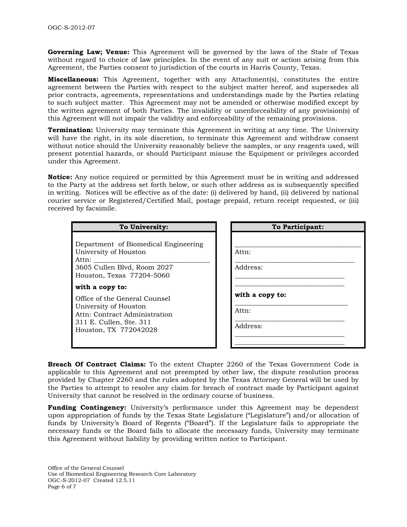**Governing Law; Venue:** This Agreement will be governed by the laws of the State of Texas without regard to choice of law principles. In the event of any suit or action arising from this Agreement, the Parties consent to jurisdiction of the courts in Harris County, Texas.

**Miscellaneous:** This Agreement, together with any Attachment(s), constitutes the entire agreement between the Parties with respect to the subject matter hereof, and supersedes all prior contracts, agreements, representations and understandings made by the Parties relating to such subject matter. This Agreement may not be amended or otherwise modified except by the written agreement of both Parties. The invalidity or unenforceability of any provision(s) of this Agreement will not impair the validity and enforceability of the remaining provisions.

**Termination:** University may terminate this Agreement in writing at any time. The University will have the right, in its sole discretion, to terminate this Agreement and withdraw consent without notice should the University reasonably believe the samples, or any reagents used, will present potential hazards, or should Participant misuse the Equipment or privileges accorded under this Agreement.

**Notice:** Any notice required or permitted by this Agreement must be in writing and addressed to the Party at the address set forth below, or such other address as is subsequently specified in writing. Notices will be effective as of the date: (i) delivered by hand, (ii) delivered by national courier service or Registered/Certified Mail, postage prepaid, return receipt requested, or (iii) received by facsimile.

## **To University:**

Department of Biomedical Engineering University of Houston Attn: 3605 Cullen Blvd, Room 2027

Houston, Texas 77204-5060

#### **with a copy to:**

Office of the General Counsel University of Houston Attn: Contract Administration 311 E. Cullen, Ste. 311 Houston, TX 772042028

| To Participant: |  |  |
|-----------------|--|--|
|                 |  |  |
|                 |  |  |
| Address:        |  |  |
| with a copy to: |  |  |
|                 |  |  |
| Address:        |  |  |
|                 |  |  |

**Breach Of Contract Claims:** To the extent Chapter 2260 of the Texas Government Code is applicable to this Agreement and not preempted by other law, the dispute resolution process provided by Chapter 2260 and the rules adopted by the Texas Attorney General will be used by the Parties to attempt to resolve any claim for breach of contract made by Participant against University that cannot be resolved in the ordinary course of business.

**Funding Contingency:** University's performance under this Agreement may be dependent upon appropriation of funds by the Texas State Legislature ("Legislature") and/or allocation of funds by University's Board of Regents ("Board"). If the Legislature fails to appropriate the necessary funds or the Board fails to allocate the necessary funds, University may terminate this Agreement without liability by providing written notice to Participant.